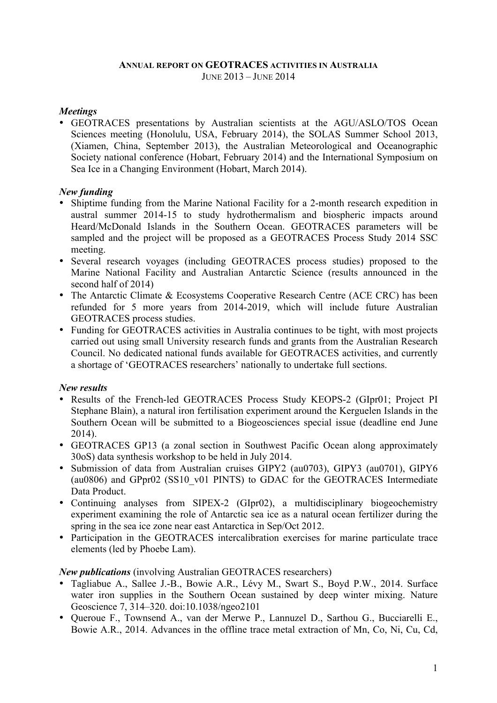#### **ANNUAL REPORT ON GEOTRACES ACTIVITIES IN AUSTRALIA** JUNE 2013 – JUNE 2014

### *Meetings*

• GEOTRACES presentations by Australian scientists at the AGU/ASLO/TOS Ocean Sciences meeting (Honolulu, USA, February 2014), the SOLAS Summer School 2013, (Xiamen, China, September 2013), the Australian Meteorological and Oceanographic Society national conference (Hobart, February 2014) and the International Symposium on Sea Ice in a Changing Environment (Hobart, March 2014).

# *New funding*

- Shiptime funding from the Marine National Facility for a 2-month research expedition in austral summer 2014-15 to study hydrothermalism and biospheric impacts around Heard/McDonald Islands in the Southern Ocean. GEOTRACES parameters will be sampled and the project will be proposed as a GEOTRACES Process Study 2014 SSC meeting.
- Several research voyages (including GEOTRACES process studies) proposed to the Marine National Facility and Australian Antarctic Science (results announced in the second half of 2014)
- The Antarctic Climate & Ecosystems Cooperative Research Centre (ACE CRC) has been refunded for 5 more years from 2014-2019, which will include future Australian GEOTRACES process studies.
- Funding for GEOTRACES activities in Australia continues to be tight, with most projects carried out using small University research funds and grants from the Australian Research Council. No dedicated national funds available for GEOTRACES activities, and currently a shortage of 'GEOTRACES researchers' nationally to undertake full sections.

# *New results*

- Results of the French-led GEOTRACES Process Study KEOPS-2 (GIpr01; Project PI Stephane Blain), a natural iron fertilisation experiment around the Kerguelen Islands in the Southern Ocean will be submitted to a Biogeosciences special issue (deadline end June 2014).
- GEOTRACES GP13 (a zonal section in Southwest Pacific Ocean along approximately 30oS) data synthesis workshop to be held in July 2014.
- Submission of data from Australian cruises GIPY2 (au0703), GIPY3 (au0701), GIPY6 (au0806) and GPpr02 (SS10\_v01 PINTS) to GDAC for the GEOTRACES Intermediate Data Product.
- Continuing analyses from SIPEX-2 (GIpr02), a multidisciplinary biogeochemistry experiment examining the role of Antarctic sea ice as a natural ocean fertilizer during the spring in the sea ice zone near east Antarctica in Sep/Oct 2012.
- Participation in the GEOTRACES intercalibration exercises for marine particulate trace elements (led by Phoebe Lam).

*New publications* (involving Australian GEOTRACES researchers)

- Tagliabue A., Sallee J.-B., Bowie A.R., Lévy M., Swart S., Boyd P.W., 2014. Surface water iron supplies in the Southern Ocean sustained by deep winter mixing. Nature Geoscience 7, 314–320. doi:10.1038/ngeo2101
- Queroue F., Townsend A., van der Merwe P., Lannuzel D., Sarthou G., Bucciarelli E., Bowie A.R., 2014. Advances in the offline trace metal extraction of Mn, Co, Ni, Cu, Cd,